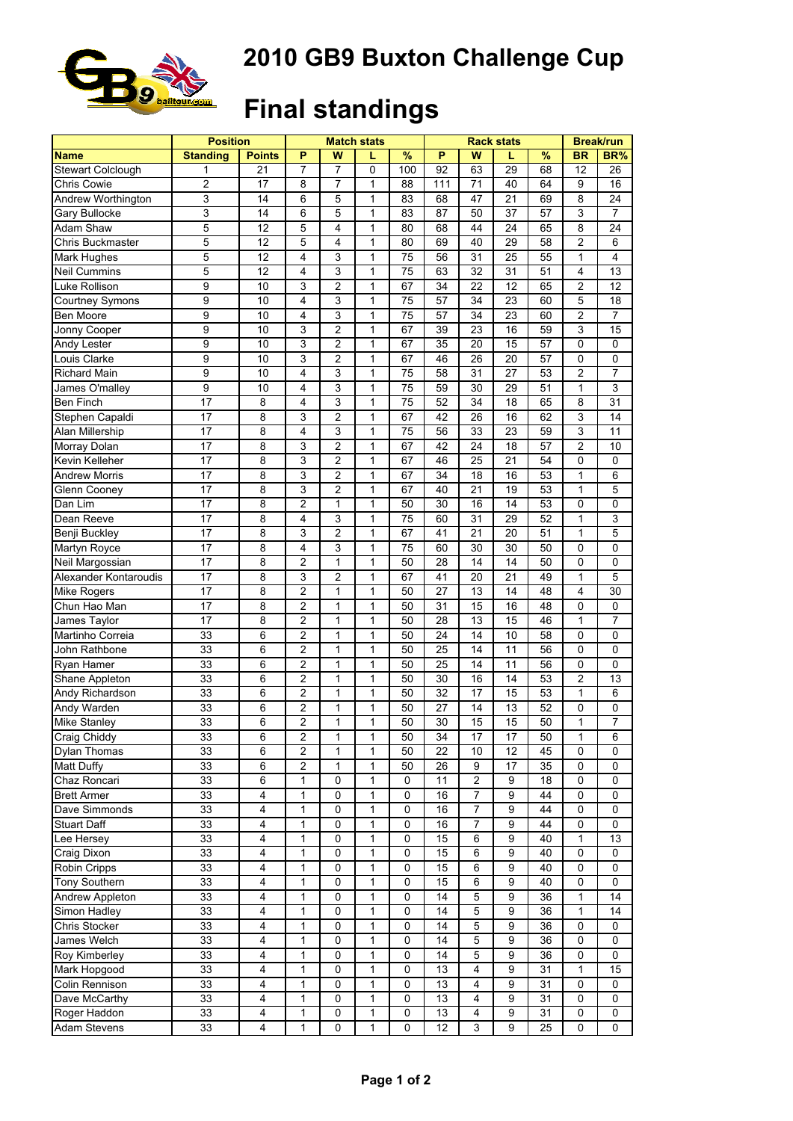

## **2010 GB9 Buxton Challenge Cup**

## **Final standings**

|                       | <b>Position</b> |               |                |                | <b>Match stats</b> |           |                 | <b>Rack stats</b> | <b>Break/run</b> |    |                |                 |
|-----------------------|-----------------|---------------|----------------|----------------|--------------------|-----------|-----------------|-------------------|------------------|----|----------------|-----------------|
| <b>Name</b>           | <b>Standing</b> | <b>Points</b> | P              | W              | L                  | $\%$      | P               | W                 | L                | %  | BR             | BR%             |
| Stewart Colclough     | 1               | 21            | 7              | 7              | 0                  | 100       | $\overline{92}$ | 63                | 29               | 68 | 12             | 26              |
| Chris Cowie           | 2               | 17            | 8              | 7              | 1                  | 88        | 111             | 71                | 40               | 64 | 9              | 16              |
| Andrew Worthington    | 3               | 14            | 6              | 5              | 1                  | 83        | 68              | 47                | 21               | 69 | 8              | 24              |
| Gary Bullocke         | 3               | 14            | 6              | 5              | $\mathbf{1}$       | 83        | 87              | 50                | 37               | 57 | 3              | 7               |
| Adam Shaw             | 5               | 12            | 5              | 4              | $\mathbf{1}$       | 80        | 68              | 44                | 24               | 65 | 8              | 24              |
| Chris Buckmaster      | 5               | 12            | 5              | 4              | 1                  | 80        | 69              | 40                | 29               | 58 | $\overline{c}$ | 6               |
| Mark Hughes           | 5               | 12            | $\overline{4}$ | 3              | 1                  | 75        | 56              | 31                | 25               | 55 | 1              | 4               |
| <b>Neil Cummins</b>   | 5               | 12            | 4              | 3              | 1                  | 75        | 63              | 32                | 31               | 51 | 4              | 13              |
| Luke Rollison         | 9               | 10            | 3              | $\overline{c}$ | $\mathbf{1}$       | 67        | 34              | 22                | 12               | 65 | $\overline{c}$ | 12 <sup>2</sup> |
| Courtney Symons       | 9               | 10            | 4              | 3              | $\mathbf{1}$       | 75        | 57              | 34                | 23               | 60 | 5              | 18              |
| <b>Ben Moore</b>      | 9               | 10            | 4              | 3              | 1                  | 75        | 57              | 34                | 23               | 60 | $\overline{c}$ | $\overline{7}$  |
| Jonny Cooper          | 9               | 10            | 3              | $\overline{c}$ | $\mathbf{1}$       | 67        | 39              | 23                | 16               | 59 | 3              | 15              |
| Andy Lester           | 9               | 10            | 3              | 2              | 1                  | 67        | 35              | 20                | 15               | 57 | 0              | 0               |
| Louis Clarke          | 9               | 10            | 3              | 2              | 1                  | 67        | 46              | 26                | 20               | 57 | 0              | 0               |
| <b>Richard Main</b>   | 9               | 10            | 4              | 3              | $\mathbf{1}$       | 75        | 58              | 31                | 27               | 53 | $\overline{c}$ | 7               |
|                       |                 |               |                |                | $\mathbf{1}$       |           |                 |                   |                  |    |                |                 |
| James O'malley        | 9               | 10            | 4              | 3              |                    | 75        | 59              | 30                | 29               | 51 | $\mathbf{1}$   | 3               |
| <b>Ben Finch</b>      | 17              | 8             | $\overline{4}$ | 3              | 1                  | 75        | 52              | 34                | 18               | 65 | 8              | 31              |
| Stephen Capaldi       | 17              | 8             | 3              | 2              | 1                  | 67        | 42              | 26                | 16               | 62 | 3              | 14              |
| Alan Millership       | 17              | 8             | 4              | 3              | 1                  | 75        | 56              | 33                | 23               | 59 | 3              | 11              |
| Morray Dolan          | 17              | 8             | 3              | 2              | 1                  | 67        | 42              | 24                | 18               | 57 | 2              | 10              |
| Kevin Kelleher        | 17              | 8             | 3              | 2              | $\mathbf{1}$       | 67        | 46              | 25                | 21               | 54 | 0              | 0               |
| Andrew Morris         | 17              | 8             | 3              | 2              | $\mathbf{1}$       | 67        | 34              | 18                | 16               | 53 | $\mathbf{1}$   | 6               |
| Glenn Cooney          | 17              | 8             | 3              | $\overline{c}$ | $\mathbf{1}$       | 67        | 40              | 21                | 19               | 53 | $\mathbf{1}$   | 5               |
| Dan Lim               | 17              | 8             | $\overline{c}$ | 1              | 1                  | 50        | 30              | 16                | 14               | 53 | 0              | 0               |
| Dean Reeve            | 17              | 8             | 4              | 3              | 1                  | 75        | 60              | 31                | 29               | 52 | 1              | 3               |
| Benji Buckley         | 17              | 8             | 3              | $\overline{c}$ | $\mathbf{1}$       | 67        | 41              | 21                | $\overline{20}$  | 51 | 1              | 5               |
| Martyn Royce          | 17              | 8             | 4              | 3              | $\mathbf{1}$       | 75        | 60              | 30                | 30               | 50 | 0              | 0               |
| Neil Margossian       | 17              | 8             | $\overline{c}$ | 1              | 1                  | 50        | 28              | 14                | 14               | 50 | 0              | 0               |
| Alexander Kontaroudis | 17              | 8             | 3              | 2              | 1                  | 67        | 41              | 20                | 21               | 49 | 1              | 5               |
| Mike Rogers           | 17              | 8             | 2              | 1              | 1                  | 50        | 27              | 13                | 14               | 48 | 4              | 30              |
| Chun Hao Man          | 17              | 8             | $\overline{c}$ | 1              | 1                  | 50        | 31              | 15                | 16               | 48 | 0              | 0               |
| James Taylor          | 17              | 8             | $\overline{2}$ | 1              | $\mathbf{1}$       | 50        | 28              | 13                | 15               | 46 | $\mathbf{1}$   | 7               |
| Martinho Correia      | 33              | 6             | $\overline{c}$ | 1              | $\mathbf{1}$       | 50        | 24              | 14                | 10               | 58 | 0              | 0               |
| John Rathbone         | 33              | 6             | 2              | 1              | 1                  | 50        | $\overline{25}$ | 14                | 11               | 56 | $\mathbf 0$    | $\overline{0}$  |
| Ryan Hamer            | 33              | 6             | 2              | 1              | 1                  | 50        | 25              | 14                | 11               | 56 | 0              | 0               |
| Shane Appleton        | 33              | 6             | 2              | 1              | 1                  | 50        | 30              | 16                | 14               | 53 | 2              | 13              |
| Andy Richardson       | 33              | 6             | $\overline{2}$ | 1              | $\mathbf{1}$       | 50        | 32              | 17                | 15               | 53 | $\mathbf{1}$   | 6               |
| Andy Warden           | 33              | 6             | $\overline{c}$ | 1              | $\mathbf{1}$       | 50        | 27              | 14                | 13               | 52 | 0              | 0               |
| Mike Stanley          | 33              | 6             | 2              | 1              | $\mathbf{1}$       | 50        | 30              | 15                | 15               | 50 | 1              | $\overline{7}$  |
| <b>Craig Chiddy</b>   |                 |               |                |                |                    |           |                 |                   |                  |    |                |                 |
|                       | 33              | 6             | 2              | 1              | 1                  | 50        | 34              | 17                | 17               | 50 | 1              | 6               |
| Dylan Thomas          | 33              | 6             | 2              | 1              | 1                  | 50        | 22              | 10                | 12               | 45 | 0              | 0               |
| Matt Duffy            | 33              | 6             | 2              | 1              | 1                  | 50        | 26              | 9                 | 17               | 35 | 0              | 0               |
| Chaz Roncari          | 33              | 6             | 1              | 0              | 1                  | 0         | 11              | $\overline{c}$    | 9                | 18 | 0              | 0               |
| <b>Brett Armer</b>    | 33              | 4             | 1              | 0              | $\mathbf{1}$       | 0         | 16              | $\overline{7}$    | 9                | 44 | 0              | 0               |
| Dave Simmonds         | 33              | 4             | 1              | 0              | 1                  | 0         | 16              | $\overline{7}$    | 9                | 44 | 0              | 0               |
| <b>Stuart Daff</b>    | 33              | 4             | 1              | 0              | 1                  | 0         | 16              | 7                 | 9                | 44 | 0              | 0               |
| Lee Hersey            | 33              | 4             | 1              | 0              | 1                  | 0         | 15              | 6                 | 9                | 40 | 1              | 13              |
| Craig Dixon           | 33              | 4             | 1              | 0              | 1                  | $\pmb{0}$ | 15              | 6                 | 9                | 40 | $\mathbf 0$    | 0               |
| Robin Cripps          | 33              | 4             | 1              | 0              | $\mathbf{1}$       | 0         | $\overline{15}$ | 6                 | 9                | 40 | 0              | 0               |
| Tony Southern         | 33              | 4             | 1              | 0              | 1                  | 0         | 15              | 6                 | 9                | 40 | 0              | 0               |
| Andrew Appleton       | 33              | 4             | 1              | 0              | $\mathbf{1}$       | $\pmb{0}$ | 14              | 5                 | 9                | 36 | $\mathbf{1}$   | 14              |
| Simon Hadley          | 33              | 4             | 1              | 0              | 1                  | 0         | 14              | 5                 | 9                | 36 | 1              | 14              |
| Chris Stocker         | 33              | 4             | 1              | 0              | 1                  | 0         | 14              | 5                 | 9                | 36 | 0              | 0               |
| James Welch           | 33              | 4             | 1              | 0              | 1                  | 0         | 14              | 5                 | 9                | 36 | 0              | 0               |
| Roy Kimberley         | 33              | 4             | 1              | 0              | 1                  | 0         | 14              | 5                 | 9                | 36 | 0              | 0               |
| Mark Hopgood          | 33              | 4             | 1              | 0              | 1                  | 0         | 13              | 4                 | 9                | 31 | 1              | 15              |
| Colin Rennison        | 33              | 4             | 1              | 0              | 1                  | 0         | 13              | 4                 | 9                | 31 | 0              | 0               |
| Dave McCarthy         | 33              | 4             | 1              | 0              | 1                  | 0         | 13              | 4                 | 9                | 31 | 0              | 0               |
| Roger Haddon          | 33              | 4             | 1              | 0              | 1                  | 0         | 13              | $\overline{4}$    | 9                | 31 | 0              | 0               |
|                       | 33              |               | 1              |                | 1                  | 0         | 12              | 3                 | 9                |    | 0              |                 |
| Adam Stevens          |                 | 4             |                | 0              |                    |           |                 |                   |                  | 25 |                | 0               |